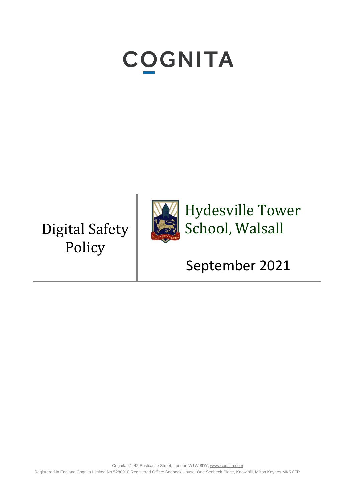# **COGNITA**

Digital Safety Policy



Hydesville Tower School, Walsall

September 2021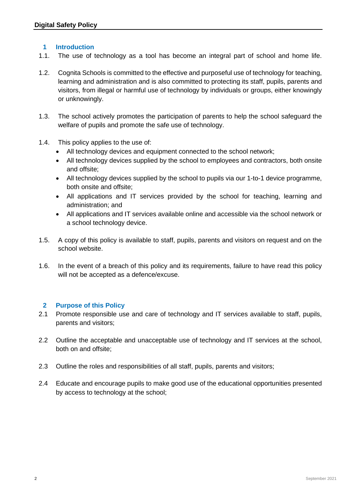## **1 Introduction**

- 1.1. The use of technology as a tool has become an integral part of school and home life.
- 1.2. Cognita Schools is committed to the effective and purposeful use of technology for teaching, learning and administration and is also committed to protecting its staff, pupils, parents and visitors, from illegal or harmful use of technology by individuals or groups, either knowingly or unknowingly.
- 1.3. The school actively promotes the participation of parents to help the school safeguard the welfare of pupils and promote the safe use of technology.
- 1.4. This policy applies to the use of:
	- All technology devices and equipment connected to the school network;
	- All technology devices supplied by the school to employees and contractors, both onsite and offsite;
	- All technology devices supplied by the school to pupils via our 1-to-1 device programme, both onsite and offsite;
	- All applications and IT services provided by the school for teaching, learning and administration; and
	- All applications and IT services available online and accessible via the school network or a school technology device.
- 1.5. A copy of this policy is available to staff, pupils, parents and visitors on request and on the school website.
- 1.6. In the event of a breach of this policy and its requirements, failure to have read this policy will not be accepted as a defence/excuse.

#### **2 Purpose of this Policy**

- 2.1 Promote responsible use and care of technology and IT services available to staff, pupils, parents and visitors;
- 2.2 Outline the acceptable and unacceptable use of technology and IT services at the school, both on and offsite;
- 2.3 Outline the roles and responsibilities of all staff, pupils, parents and visitors;
- 2.4 Educate and encourage pupils to make good use of the educational opportunities presented by access to technology at the school;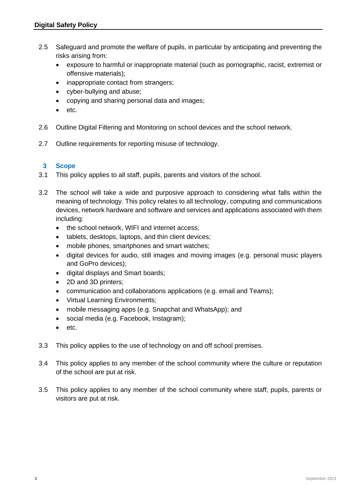- 2.5 Safeguard and promote the welfare of pupils, in particular by anticipating and preventing the risks arising from:
	- exposure to harmful or inappropriate material (such as pornographic, racist, extremist or offensive materials);
	- inappropriate contact from strangers;
	- cyber-bullying and abuse;
	- copying and sharing personal data and images;
	- etc.
- 2.6 Outline Digital Filtering and Monitoring on school devices and the school network.
- 2.7 Outline requirements for reporting misuse of technology.

# **3 Scope**

- 3.1 This policy applies to all staff, pupils, parents and visitors of the school.
- 3.2 The school will take a wide and purposive approach to considering what falls within the meaning of technology. This policy relates to all technology, computing and communications devices, network hardware and software and services and applications associated with them including:
	- the school network, WIFI and internet access;
	- tablets, desktops, laptops, and thin client devices;
	- mobile phones, smartphones and smart watches:
	- digital devices for audio, still images and moving images (e.g. personal music players and GoPro devices);
	- digital displays and Smart boards;
	- 2D and 3D printers;
	- communication and collaborations applications (e.g. email and Teams);
	- Virtual Learning Environments;
	- mobile messaging apps (e.g. Snapchat and WhatsApp); and
	- social media (e.g. Facebook, Instagram);
	- etc.
- 3.3 This policy applies to the use of technology on and off school premises.
- 3.4 This policy applies to any member of the school community where the culture or reputation of the school are put at risk.
- 3.5 This policy applies to any member of the school community where staff, pupils, parents or visitors are put at risk.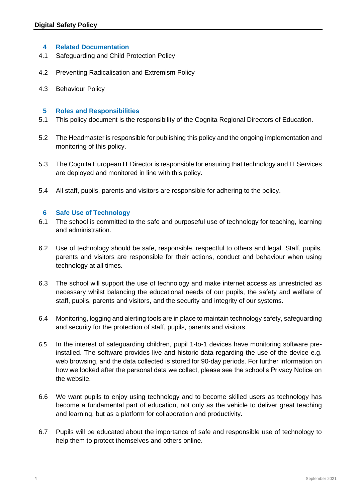#### **4 Related Documentation**

- 4.1 Safeguarding and Child Protection Policy
- 4.2 Preventing Radicalisation and Extremism Policy
- 4.3 Behaviour Policy

#### **5 Roles and Responsibilities**

- 5.1 This policy document is the responsibility of the Cognita Regional Directors of Education.
- 5.2 The Headmaster is responsible for publishing this policy and the ongoing implementation and monitoring of this policy.
- 5.3 The Cognita European IT Director is responsible for ensuring that technology and IT Services are deployed and monitored in line with this policy.
- 5.4 All staff, pupils, parents and visitors are responsible for adhering to the policy.

#### **6 Safe Use of Technology**

- 6.1 The school is committed to the safe and purposeful use of technology for teaching, learning and administration.
- 6.2 Use of technology should be safe, responsible, respectful to others and legal. Staff, pupils, parents and visitors are responsible for their actions, conduct and behaviour when using technology at all times.
- 6.3 The school will support the use of technology and make internet access as unrestricted as necessary whilst balancing the educational needs of our pupils, the safety and welfare of staff, pupils, parents and visitors, and the security and integrity of our systems.
- 6.4 Monitoring, logging and alerting tools are in place to maintain technology safety, safeguarding and security for the protection of staff, pupils, parents and visitors.
- 6.5 In the interest of safeguarding children, pupil 1-to-1 devices have monitoring software preinstalled. The software provides live and historic data regarding the use of the device e.g. web browsing, and the data collected is stored for 90-day periods. For further information on how we looked after the personal data we collect, please see the school's Privacy Notice on the website.
- 6.6 We want pupils to enjoy using technology and to become skilled users as technology has become a fundamental part of education, not only as the vehicle to deliver great teaching and learning, but as a platform for collaboration and productivity.
- 6.7 Pupils will be educated about the importance of safe and responsible use of technology to help them to protect themselves and others online.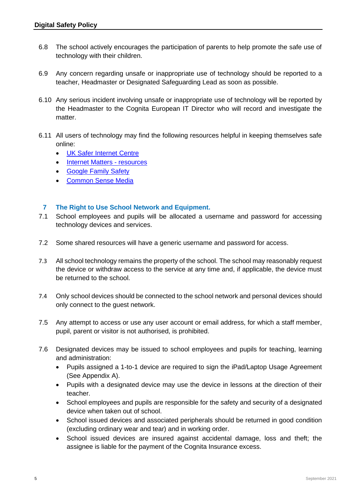- 6.8 The school actively encourages the participation of parents to help promote the safe use of technology with their children.
- 6.9 Any concern regarding unsafe or inappropriate use of technology should be reported to a teacher, Headmaster or Designated Safeguarding Lead as soon as possible.
- 6.10 Any serious incident involving unsafe or inappropriate use of technology will be reported by the Headmaster to the Cognita European IT Director who will record and investigate the matter.
- 6.11 All users of technology may find the following resources helpful in keeping themselves safe online:
	- [UK Safer Internet Centre](https://www.saferinternet.org.uk/)
	- [Internet Matters -](https://www.internetmatters.org/resources/esafety-leaflets-resources/) resources
	- [Google Family Safety](https://safety.google/families/)
	- [Common Sense Media](https://www.commonsensemedia.org/)

## **7 The Right to Use School Network and Equipment.**

- 7.1 School employees and pupils will be allocated a username and password for accessing technology devices and services.
- 7.2 Some shared resources will have a generic username and password for access.
- 7.3 All school technology remains the property of the school. The school may reasonably request the device or withdraw access to the service at any time and, if applicable, the device must be returned to the school.
- 7.4 Only school devices should be connected to the school network and personal devices should only connect to the guest network.
- 7.5 Any attempt to access or use any user account or email address, for which a staff member, pupil, parent or visitor is not authorised, is prohibited.
- 7.6 Designated devices may be issued to school employees and pupils for teaching, learning and administration:
	- Pupils assigned a 1-to-1 device are required to sign the iPad/Laptop Usage Agreement (See Appendix A).
	- Pupils with a designated device may use the device in lessons at the direction of their teacher.
	- School employees and pupils are responsible for the safety and security of a designated device when taken out of school.
	- School issued devices and associated peripherals should be returned in good condition (excluding ordinary wear and tear) and in working order.
	- School issued devices are insured against accidental damage, loss and theft; the assignee is liable for the payment of the Cognita Insurance excess.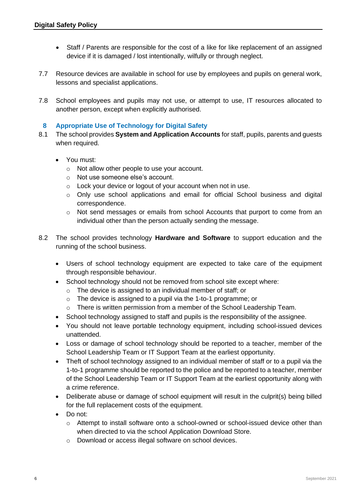- Staff / Parents are responsible for the cost of a like for like replacement of an assigned device if it is damaged / lost intentionally, wilfully or through neglect.
- 7.7 Resource devices are available in school for use by employees and pupils on general work, lessons and specialist applications.
- 7.8 School employees and pupils may not use, or attempt to use, IT resources allocated to another person, except when explicitly authorised.

## **8 Appropriate Use of Technology for Digital Safety**

- 8.1 The school provides **System and Application Accounts** for staff, pupils, parents and guests when required.
	- You must:
		- o Not allow other people to use your account.
		- o Not use someone else's account.
		- o Lock your device or logout of your account when not in use.
		- o Only use school applications and email for official School business and digital correspondence.
		- o Not send messages or emails from school Accounts that purport to come from an individual other than the person actually sending the message.
- 8.2 The school provides technology **Hardware and Software** to support education and the running of the school business.
	- Users of school technology equipment are expected to take care of the equipment through responsible behaviour.
	- School technology should not be removed from school site except where:
		- o The device is assigned to an individual member of staff; or
		- o The device is assigned to a pupil via the 1-to-1 programme; or
		- $\circ$  There is written permission from a member of the School Leadership Team.
	- School technology assigned to staff and pupils is the responsibility of the assignee.
	- You should not leave portable technology equipment, including school-issued devices unattended.
	- Loss or damage of school technology should be reported to a teacher, member of the School Leadership Team or IT Support Team at the earliest opportunity.
	- Theft of school technology assigned to an individual member of staff or to a pupil via the 1-to-1 programme should be reported to the police and be reported to a teacher, member of the School Leadership Team or IT Support Team at the earliest opportunity along with a crime reference.
	- Deliberate abuse or damage of school equipment will result in the culprit(s) being billed for the full replacement costs of the equipment.
	- Do not:
		- $\circ$  Attempt to install software onto a school-owned or school-issued device other than when directed to via the school Application Download Store.
		- o Download or access illegal software on school devices.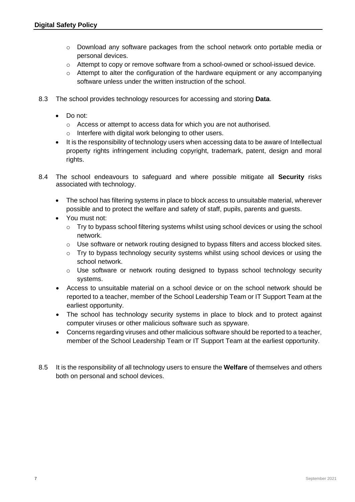- o Download any software packages from the school network onto portable media or personal devices.
- $\circ$  Attempt to copy or remove software from a school-owned or school-issued device.
- $\circ$  Attempt to alter the configuration of the hardware equipment or any accompanying software unless under the written instruction of the school.
- 8.3 The school provides technology resources for accessing and storing **Data**.
	- Do not:
		- o Access or attempt to access data for which you are not authorised.
		- o Interfere with digital work belonging to other users.
	- It is the responsibility of technology users when accessing data to be aware of Intellectual property rights infringement including copyright, trademark, patent, design and moral rights.
- 8.4 The school endeavours to safeguard and where possible mitigate all **Security** risks associated with technology.
	- The school has filtering systems in place to block access to unsuitable material, wherever possible and to protect the welfare and safety of staff, pupils, parents and guests.
	- You must not:
		- $\circ$  Try to bypass school filtering systems whilst using school devices or using the school network.
		- o Use software or network routing designed to bypass filters and access blocked sites.
		- o Try to bypass technology security systems whilst using school devices or using the school network.
		- o Use software or network routing designed to bypass school technology security systems.
	- Access to unsuitable material on a school device or on the school network should be reported to a teacher, member of the School Leadership Team or IT Support Team at the earliest opportunity.
	- The school has technology security systems in place to block and to protect against computer viruses or other malicious software such as spyware.
	- Concerns regarding viruses and other malicious software should be reported to a teacher, member of the School Leadership Team or IT Support Team at the earliest opportunity.
- 8.5 It is the responsibility of all technology users to ensure the **Welfare** of themselves and others both on personal and school devices.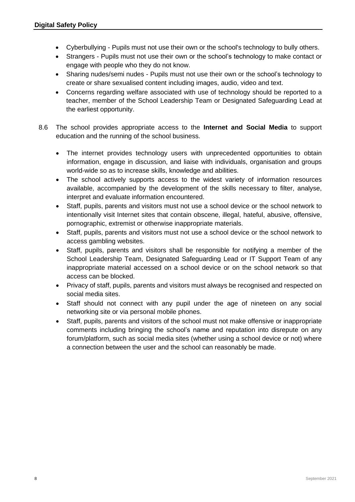- Cyberbullying Pupils must not use their own or the school's technology to bully others.
- Strangers Pupils must not use their own or the school's technology to make contact or engage with people who they do not know.
- Sharing nudes/semi nudes Pupils must not use their own or the school's technology to create or share sexualised content including images, audio, video and text.
- Concerns regarding welfare associated with use of technology should be reported to a teacher, member of the School Leadership Team or Designated Safeguarding Lead at the earliest opportunity.
- 8.6 The school provides appropriate access to the **Internet and Social Media** to support education and the running of the school business.
	- The internet provides technology users with unprecedented opportunities to obtain information, engage in discussion, and liaise with individuals, organisation and groups world-wide so as to increase skills, knowledge and abilities.
	- The school actively supports access to the widest variety of information resources available, accompanied by the development of the skills necessary to filter, analyse, interpret and evaluate information encountered.
	- Staff, pupils, parents and visitors must not use a school device or the school network to intentionally visit Internet sites that contain obscene, illegal, hateful, abusive, offensive, pornographic, extremist or otherwise inappropriate materials.
	- Staff, pupils, parents and visitors must not use a school device or the school network to access gambling websites.
	- Staff, pupils, parents and visitors shall be responsible for notifying a member of the School Leadership Team, Designated Safeguarding Lead or IT Support Team of any inappropriate material accessed on a school device or on the school network so that access can be blocked.
	- Privacy of staff, pupils, parents and visitors must always be recognised and respected on social media sites.
	- Staff should not connect with any pupil under the age of nineteen on any social networking site or via personal mobile phones.
	- Staff, pupils, parents and visitors of the school must not make offensive or inappropriate comments including bringing the school's name and reputation into disrepute on any forum/platform, such as social media sites (whether using a school device or not) where a connection between the user and the school can reasonably be made.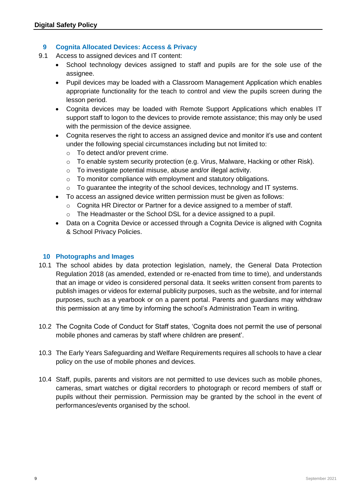## **9 Cognita Allocated Devices: Access & Privacy**

- 9.1 Access to assigned devices and IT content:
	- School technology devices assigned to staff and pupils are for the sole use of the assignee.
	- Pupil devices may be loaded with a Classroom Management Application which enables appropriate functionality for the teach to control and view the pupils screen during the lesson period.
	- Cognita devices may be loaded with Remote Support Applications which enables IT support staff to logon to the devices to provide remote assistance; this may only be used with the permission of the device assignee.
	- Cognita reserves the right to access an assigned device and monitor it's use and content under the following special circumstances including but not limited to:
		- o To detect and/or prevent crime.
		- o To enable system security protection (e.g. Virus, Malware, Hacking or other Risk).
		- o To investigate potential misuse, abuse and/or illegal activity.
		- o To monitor compliance with employment and statutory obligations.
		- o To guarantee the integrity of the school devices, technology and IT systems.
	- To access an assigned device written permission must be given as follows:
		- o Cognita HR Director or Partner for a device assigned to a member of staff.
		- o The Headmaster or the School DSL for a device assigned to a pupil.
	- Data on a Cognita Device or accessed through a Cognita Device is aligned with Cognita & School Privacy Policies.

## **10 Photographs and Images**

- 10.1 The school abides by data protection legislation, namely, the General Data Protection Regulation 2018 (as amended, extended or re-enacted from time to time), and understands that an image or video is considered personal data. It seeks written consent from parents to publish images or videos for external publicity purposes, such as the website, and for internal purposes, such as a yearbook or on a parent portal. Parents and guardians may withdraw this permission at any time by informing the school's Administration Team in writing.
- 10.2 The Cognita Code of Conduct for Staff states, 'Cognita does not permit the use of personal mobile phones and cameras by staff where children are present'.
- 10.3 The Early Years Safeguarding and Welfare Requirements requires all schools to have a clear policy on the use of mobile phones and devices.
- 10.4 Staff, pupils, parents and visitors are not permitted to use devices such as mobile phones, cameras, smart watches or digital recorders to photograph or record members of staff or pupils without their permission. Permission may be granted by the school in the event of performances/events organised by the school.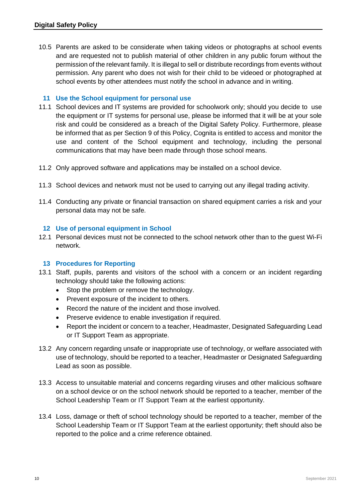10.5 Parents are asked to be considerate when taking videos or photographs at school events and are requested not to publish material of other children in any public forum without the permission of the relevant family. It is illegal to sell or distribute recordings from events without permission. Any parent who does not wish for their child to be videoed or photographed at school events by other attendees must notify the school in advance and in writing.

## **11 Use the School equipment for personal use**

- 11.1 School devices and IT systems are provided for schoolwork only; should you decide to use the equipment or IT systems for personal use, please be informed that it will be at your sole risk and could be considered as a breach of the Digital Safety Policy. Furthermore, please be informed that as per Section 9 of this Policy, Cognita is entitled to access and monitor the use and content of the School equipment and technology, including the personal communications that may have been made through those school means.
- 11.2 Only approved software and applications may be installed on a school device.
- 11.3 School devices and network must not be used to carrying out any illegal trading activity.
- 11.4 Conducting any private or financial transaction on shared equipment carries a risk and your personal data may not be safe.

## **12 Use of personal equipment in School**

12.1 Personal devices must not be connected to the school network other than to the guest Wi-Fi network.

# **13 Procedures for Reporting**

- 13.1 Staff, pupils, parents and visitors of the school with a concern or an incident regarding technology should take the following actions:
	- Stop the problem or remove the technology.
	- Prevent exposure of the incident to others.
	- Record the nature of the incident and those involved.
	- Preserve evidence to enable investigation if required.
	- Report the incident or concern to a teacher, Headmaster, Designated Safeguarding Lead or IT Support Team as appropriate.
- 13.2 Any concern regarding unsafe or inappropriate use of technology, or welfare associated with use of technology, should be reported to a teacher, Headmaster or Designated Safeguarding Lead as soon as possible.
- 13.3 Access to unsuitable material and concerns regarding viruses and other malicious software on a school device or on the school network should be reported to a teacher, member of the School Leadership Team or IT Support Team at the earliest opportunity.
- 13.4 Loss, damage or theft of school technology should be reported to a teacher, member of the School Leadership Team or IT Support Team at the earliest opportunity; theft should also be reported to the police and a crime reference obtained.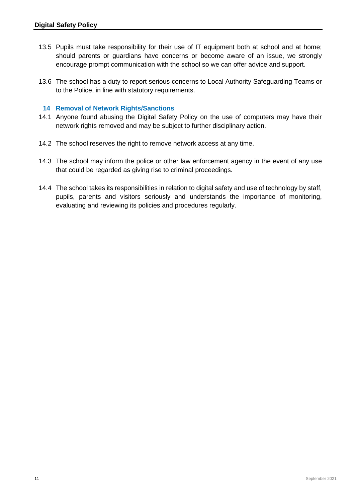- 13.5 Pupils must take responsibility for their use of IT equipment both at school and at home; should parents or guardians have concerns or become aware of an issue, we strongly encourage prompt communication with the school so we can offer advice and support.
- 13.6 The school has a duty to report serious concerns to Local Authority Safeguarding Teams or to the Police, in line with statutory requirements.

#### **14 Removal of Network Rights/Sanctions**

- 14.1 Anyone found abusing the Digital Safety Policy on the use of computers may have their network rights removed and may be subject to further disciplinary action.
- 14.2 The school reserves the right to remove network access at any time.
- 14.3 The school may inform the police or other law enforcement agency in the event of any use that could be regarded as giving rise to criminal proceedings.
- 14.4 The school takes its responsibilities in relation to digital safety and use of technology by staff, pupils, parents and visitors seriously and understands the importance of monitoring, evaluating and reviewing its policies and procedures regularly.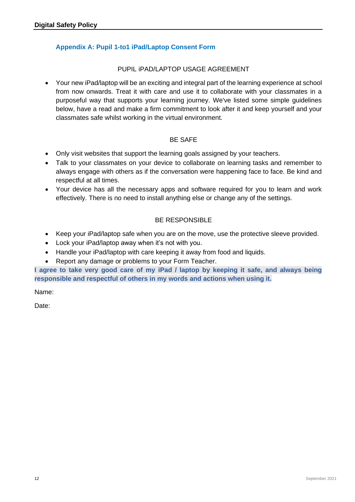# **Appendix A: Pupil 1-to1 iPad/Laptop Consent Form**

## PUPIL iPAD/LAPTOP USAGE AGREEMENT

• Your new iPad/laptop will be an exciting and integral part of the learning experience at school from now onwards. Treat it with care and use it to collaborate with your classmates in a purposeful way that supports your learning journey. We've listed some simple guidelines below, have a read and make a firm commitment to look after it and keep yourself and your classmates safe whilst working in the virtual environment.

## BE SAFE

- Only visit websites that support the learning goals assigned by your teachers.
- Talk to your classmates on your device to collaborate on learning tasks and remember to always engage with others as if the conversation were happening face to face. Be kind and respectful at all times.
- Your device has all the necessary apps and software required for you to learn and work effectively. There is no need to install anything else or change any of the settings.

# BE RESPONSIBLE

- Keep your iPad/laptop safe when you are on the move, use the protective sleeve provided.
- Lock your iPad/laptop away when it's not with you.
- Handle your iPad/laptop with care keeping it away from food and liquids.
- Report any damage or problems to your Form Teacher.

**I agree to take very good care of my iPad / laptop by keeping it safe, and always being responsible and respectful of others in my words and actions when using it.**

Name:

Date: